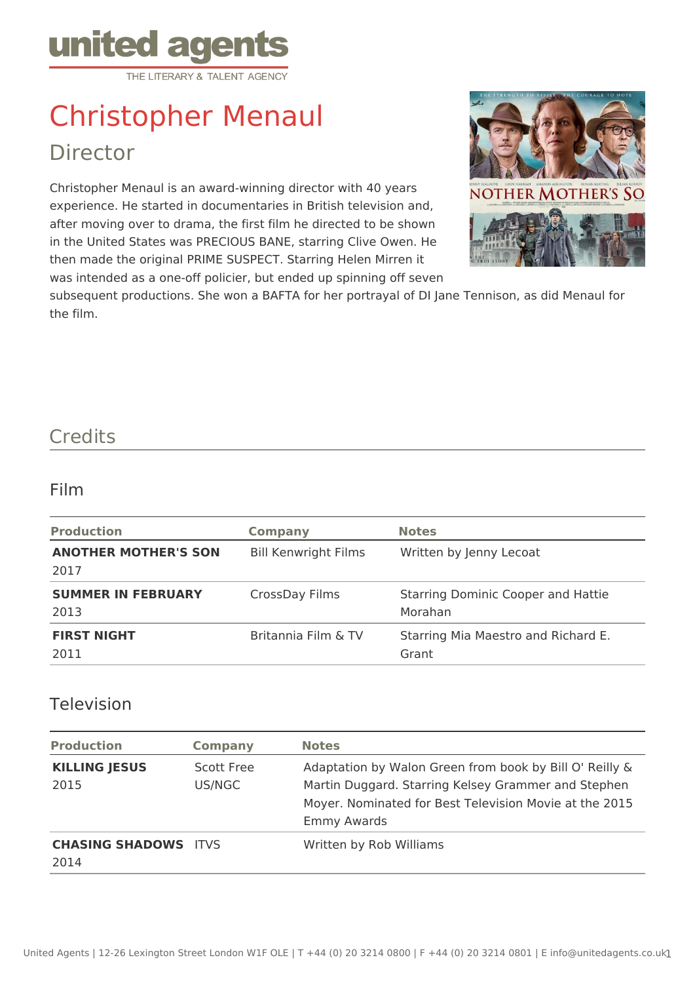

## Christopher Menaul Director

Christopher Menaul is an award-winning director with 40 years experience. He started in documentaries in British television and, after moving over to drama, the first film he directed to be shown in the United States was PRECIOUS BANE, starring Clive Owen. He then made the original PRIME SUSPECT. Starring Helen Mirren it was intended as a one-off policier, but ended up spinning off seven



subsequent productions. She won a BAFTA for her portrayal of DI Jane Tennison, as did Menaul for the film.

## **Credits**

## Film

| <b>Production</b>                   | <b>Company</b>              | <b>Notes</b>                                         |
|-------------------------------------|-----------------------------|------------------------------------------------------|
| <b>ANOTHER MOTHER'S SON</b><br>2017 | <b>Bill Kenwright Films</b> | Written by Jenny Lecoat                              |
| <b>SUMMER IN FEBRUARY</b><br>2013   | CrossDay Films              | <b>Starring Dominic Cooper and Hattie</b><br>Morahan |
| <b>FIRST NIGHT</b><br>2011          | Britannia Film & TV         | Starring Mia Maestro and Richard E.<br>Grant         |

## Television

| <b>Production</b>                   | <b>Company</b>       | <b>Notes</b>                                                                                                                                                                                   |
|-------------------------------------|----------------------|------------------------------------------------------------------------------------------------------------------------------------------------------------------------------------------------|
| <b>KILLING JESUS</b><br>2015        | Scott Free<br>US/NGC | Adaptation by Walon Green from book by Bill O' Reilly &<br>Martin Duggard. Starring Kelsey Grammer and Stephen<br>Moyer. Nominated for Best Television Movie at the 2015<br><b>Emmy Awards</b> |
| <b>CHASING SHADOWS ITVS</b><br>2014 |                      | Written by Rob Williams                                                                                                                                                                        |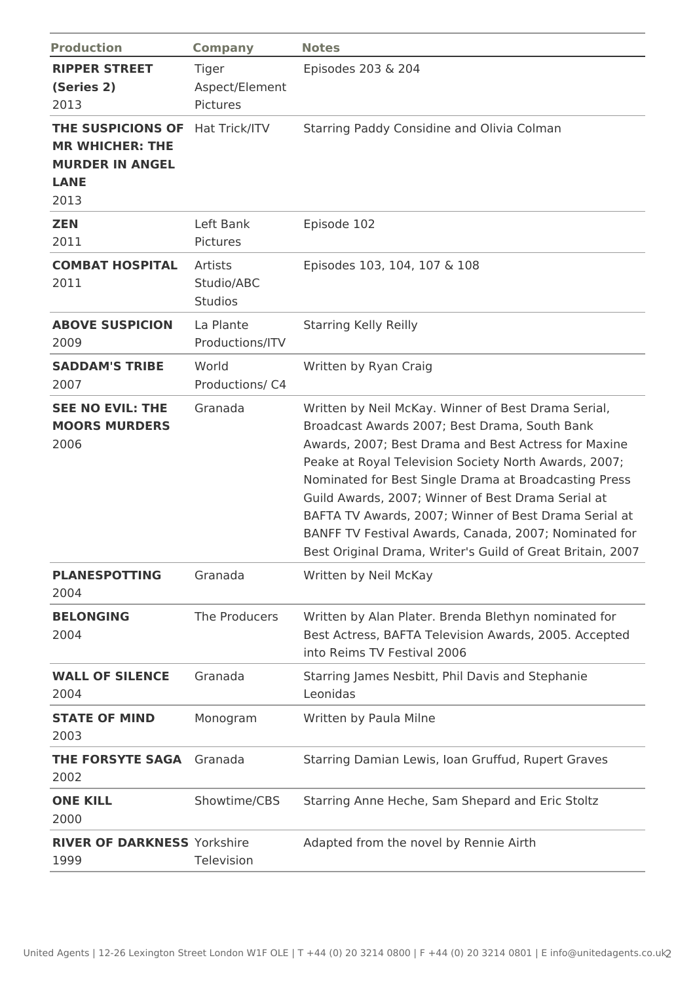| <b>Production</b>                                                                            | <b>Company</b>                             | <b>Notes</b>                                                                                                                                                                                                                                                                                                                                                                                                                                                                                                         |
|----------------------------------------------------------------------------------------------|--------------------------------------------|----------------------------------------------------------------------------------------------------------------------------------------------------------------------------------------------------------------------------------------------------------------------------------------------------------------------------------------------------------------------------------------------------------------------------------------------------------------------------------------------------------------------|
| <b>RIPPER STREET</b><br>(Series 2)<br>2013                                                   | <b>Tiger</b><br>Aspect/Element<br>Pictures | Episodes 203 & 204                                                                                                                                                                                                                                                                                                                                                                                                                                                                                                   |
| THE SUSPICIONS OF<br><b>MR WHICHER: THE</b><br><b>MURDER IN ANGEL</b><br><b>LANE</b><br>2013 | Hat Trick/ITV                              | Starring Paddy Considine and Olivia Colman                                                                                                                                                                                                                                                                                                                                                                                                                                                                           |
| <b>ZEN</b><br>2011                                                                           | Left Bank<br>Pictures                      | Episode 102                                                                                                                                                                                                                                                                                                                                                                                                                                                                                                          |
| <b>COMBAT HOSPITAL</b><br>2011                                                               | Artists<br>Studio/ABC<br><b>Studios</b>    | Episodes 103, 104, 107 & 108                                                                                                                                                                                                                                                                                                                                                                                                                                                                                         |
| <b>ABOVE SUSPICION</b><br>2009                                                               | La Plante<br>Productions/ITV               | <b>Starring Kelly Reilly</b>                                                                                                                                                                                                                                                                                                                                                                                                                                                                                         |
| <b>SADDAM'S TRIBE</b><br>2007                                                                | World<br>Productions/ C4                   | Written by Ryan Craig                                                                                                                                                                                                                                                                                                                                                                                                                                                                                                |
| <b>SEE NO EVIL: THE</b><br><b>MOORS MURDERS</b><br>2006                                      | Granada                                    | Written by Neil McKay. Winner of Best Drama Serial,<br>Broadcast Awards 2007; Best Drama, South Bank<br>Awards, 2007; Best Drama and Best Actress for Maxine<br>Peake at Royal Television Society North Awards, 2007;<br>Nominated for Best Single Drama at Broadcasting Press<br>Guild Awards, 2007; Winner of Best Drama Serial at<br>BAFTA TV Awards, 2007; Winner of Best Drama Serial at<br>BANFF TV Festival Awards, Canada, 2007; Nominated for<br>Best Original Drama, Writer's Guild of Great Britain, 2007 |
| <b>PLANESPOTTING</b><br>2004                                                                 | Granada                                    | Written by Neil McKay                                                                                                                                                                                                                                                                                                                                                                                                                                                                                                |
| <b>BELONGING</b><br>2004                                                                     | The Producers                              | Written by Alan Plater. Brenda Blethyn nominated for<br>Best Actress, BAFTA Television Awards, 2005. Accepted<br>into Reims TV Festival 2006                                                                                                                                                                                                                                                                                                                                                                         |
| <b>WALL OF SILENCE</b><br>2004                                                               | Granada                                    | Starring James Nesbitt, Phil Davis and Stephanie<br>Leonidas                                                                                                                                                                                                                                                                                                                                                                                                                                                         |
| <b>STATE OF MIND</b><br>2003                                                                 | Monogram                                   | Written by Paula Milne                                                                                                                                                                                                                                                                                                                                                                                                                                                                                               |
| <b>THE FORSYTE SAGA</b><br>2002                                                              | Granada                                    | Starring Damian Lewis, Ioan Gruffud, Rupert Graves                                                                                                                                                                                                                                                                                                                                                                                                                                                                   |
| <b>ONE KILL</b><br>2000                                                                      | Showtime/CBS                               | Starring Anne Heche, Sam Shepard and Eric Stoltz                                                                                                                                                                                                                                                                                                                                                                                                                                                                     |
| <b>RIVER OF DARKNESS Yorkshire</b><br>1999                                                   | Television                                 | Adapted from the novel by Rennie Airth                                                                                                                                                                                                                                                                                                                                                                                                                                                                               |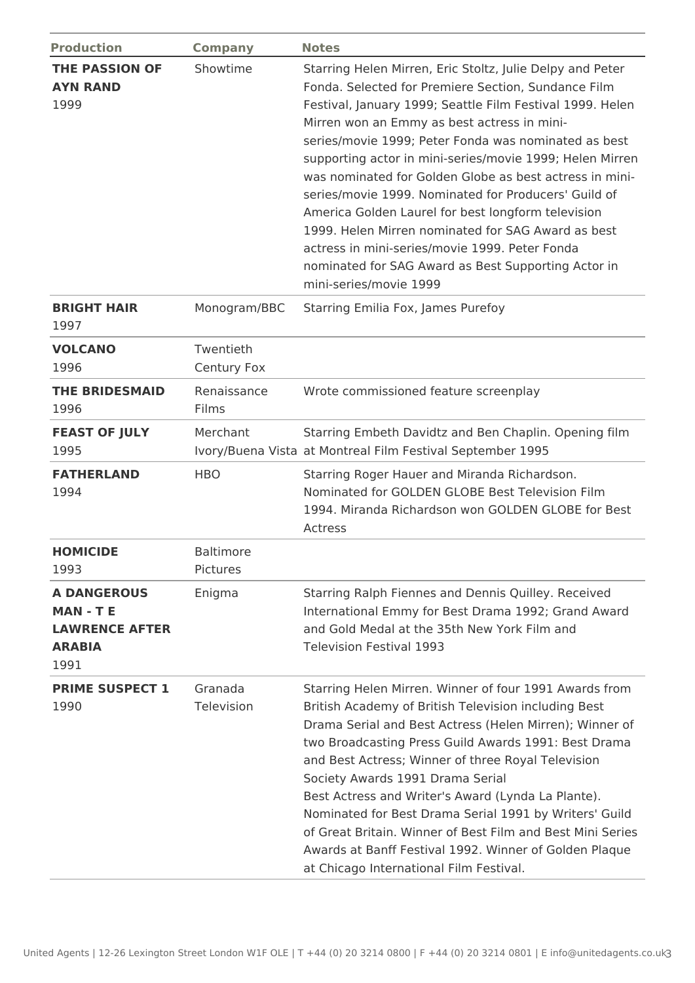| <b>Production</b>                                                                     | <b>Company</b>               | <b>Notes</b>                                                                                                                                                                                                                                                                                                                                                                                                                                                                                                                                                                                                                                                                                                       |
|---------------------------------------------------------------------------------------|------------------------------|--------------------------------------------------------------------------------------------------------------------------------------------------------------------------------------------------------------------------------------------------------------------------------------------------------------------------------------------------------------------------------------------------------------------------------------------------------------------------------------------------------------------------------------------------------------------------------------------------------------------------------------------------------------------------------------------------------------------|
| <b>THE PASSION OF</b><br><b>AYN RAND</b><br>1999                                      | Showtime                     | Starring Helen Mirren, Eric Stoltz, Julie Delpy and Peter<br>Fonda. Selected for Premiere Section, Sundance Film<br>Festival, January 1999; Seattle Film Festival 1999. Helen<br>Mirren won an Emmy as best actress in mini-<br>series/movie 1999; Peter Fonda was nominated as best<br>supporting actor in mini-series/movie 1999; Helen Mirren<br>was nominated for Golden Globe as best actress in mini-<br>series/movie 1999. Nominated for Producers' Guild of<br>America Golden Laurel for best longform television<br>1999. Helen Mirren nominated for SAG Award as best<br>actress in mini-series/movie 1999. Peter Fonda<br>nominated for SAG Award as Best Supporting Actor in<br>mini-series/movie 1999 |
| <b>BRIGHT HAIR</b><br>1997                                                            | Monogram/BBC                 | Starring Emilia Fox, James Purefoy                                                                                                                                                                                                                                                                                                                                                                                                                                                                                                                                                                                                                                                                                 |
| <b>VOLCANO</b><br>1996                                                                | Twentieth<br>Century Fox     |                                                                                                                                                                                                                                                                                                                                                                                                                                                                                                                                                                                                                                                                                                                    |
| <b>THE BRIDESMAID</b><br>1996                                                         | Renaissance<br>Films         | Wrote commissioned feature screenplay                                                                                                                                                                                                                                                                                                                                                                                                                                                                                                                                                                                                                                                                              |
| <b>FEAST OF JULY</b><br>1995                                                          | Merchant                     | Starring Embeth Davidtz and Ben Chaplin. Opening film<br>Ivory/Buena Vista at Montreal Film Festival September 1995                                                                                                                                                                                                                                                                                                                                                                                                                                                                                                                                                                                                |
| <b>FATHERLAND</b><br>1994                                                             | <b>HBO</b>                   | Starring Roger Hauer and Miranda Richardson.<br>Nominated for GOLDEN GLOBE Best Television Film<br>1994. Miranda Richardson won GOLDEN GLOBE for Best<br>Actress                                                                                                                                                                                                                                                                                                                                                                                                                                                                                                                                                   |
| <b>HOMICIDE</b><br>1993                                                               | <b>Baltimore</b><br>Pictures |                                                                                                                                                                                                                                                                                                                                                                                                                                                                                                                                                                                                                                                                                                                    |
| <b>A DANGEROUS</b><br><b>MAN-TE</b><br><b>LAWRENCE AFTER</b><br><b>ARABIA</b><br>1991 | Enigma                       | Starring Ralph Fiennes and Dennis Quilley. Received<br>International Emmy for Best Drama 1992; Grand Award<br>and Gold Medal at the 35th New York Film and<br><b>Television Festival 1993</b>                                                                                                                                                                                                                                                                                                                                                                                                                                                                                                                      |
| <b>PRIME SUSPECT 1</b><br>1990                                                        | Granada<br>Television        | Starring Helen Mirren. Winner of four 1991 Awards from<br>British Academy of British Television including Best<br>Drama Serial and Best Actress (Helen Mirren); Winner of<br>two Broadcasting Press Guild Awards 1991: Best Drama<br>and Best Actress; Winner of three Royal Television<br>Society Awards 1991 Drama Serial<br>Best Actress and Writer's Award (Lynda La Plante).<br>Nominated for Best Drama Serial 1991 by Writers' Guild<br>of Great Britain. Winner of Best Film and Best Mini Series<br>Awards at Banff Festival 1992. Winner of Golden Plaque<br>at Chicago International Film Festival.                                                                                                     |